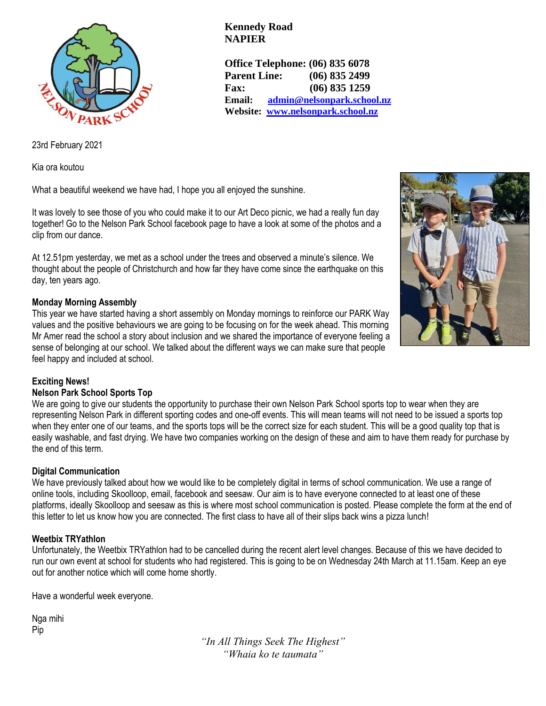

**Kennedy Road NAPIER**

**Office Telephone: (06) 835 6078 Parent Line: (06) 835 2499 Fax: (06) 835 1259 Email: [admin@nelsonpark.school.nz](mailto:admin@nelsonpark.school.nz) Website: [www.nelsonpark.school.nz](http://www.nelsonpark.school.nz/)**

23rd February 2021

Kia ora koutou

What a beautiful weekend we have had, I hope you all enjoyed the sunshine.

It was lovely to see those of you who could make it to our Art Deco picnic, we had a really fun day together! Go to the Nelson Park School facebook page to have a look at some of the photos and a clip from our dance.

At 12.51pm yesterday, we met as a school under the trees and observed a minute's silence. We thought about the people of Christchurch and how far they have come since the earthquake on this day, ten years ago.

# **Monday Morning Assembly**

This year we have started having a short assembly on Monday mornings to reinforce our PARK Way values and the positive behaviours we are going to be focusing on for the week ahead. This morning Mr Amer read the school a story about inclusion and we shared the importance of everyone feeling a sense of belonging at our school. We talked about the different ways we can make sure that people feel happy and included at school.



# **Exciting News!**

# **Nelson Park School Sports Top**

We are going to give our students the opportunity to purchase their own Nelson Park School sports top to wear when they are representing Nelson Park in different sporting codes and one-off events. This will mean teams will not need to be issued a sports top when they enter one of our teams, and the sports tops will be the correct size for each student. This will be a good quality top that is easily washable, and fast drying. We have two companies working on the design of these and aim to have them ready for purchase by the end of this term.

# **Digital Communication**

We have previously talked about how we would like to be completely digital in terms of school communication. We use a range of online tools, including Skoolloop, email, facebook and seesaw. Our aim is to have everyone connected to at least one of these platforms, ideally Skoolloop and seesaw as this is where most school communication is posted. Please complete the form at the end of this letter to let us know how you are connected. The first class to have all of their slips back wins a pizza lunch!

# **Weetbix TRYathlon**

Unfortunately, the Weetbix TRYathlon had to be cancelled during the recent alert level changes. Because of this we have decided to run our own event at school for students who had registered. This is going to be on Wednesday 24th March at 11.15am. Keep an eye out for another notice which will come home shortly.

Have a wonderful week everyone.

Nga mihi Pip

> *"In All Things Seek The Highest" "Whaia ko te taumata"*